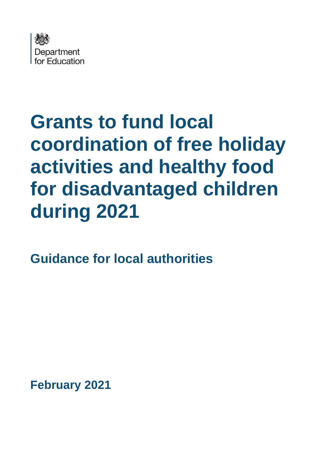

# **Grants to fund local coordination of free holiday activities and healthy food for disadvantaged children during 2021**

**Guidance for local authorities**

**February 2021**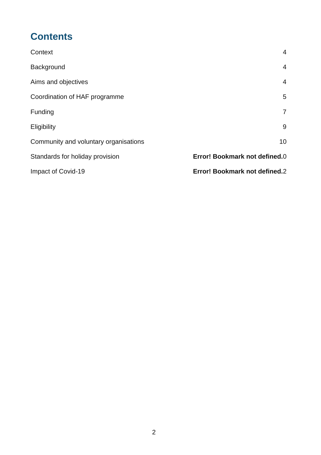## **Contents**

| Context                               | 4                             |
|---------------------------------------|-------------------------------|
| Background                            | $\overline{4}$                |
| Aims and objectives                   | $\overline{4}$                |
| Coordination of HAF programme         | 5                             |
| Funding                               | $\overline{7}$                |
| Eligibility                           | 9                             |
| Community and voluntary organisations | 10                            |
| Standards for holiday provision       | Error! Bookmark not defined.0 |
| Impact of Covid-19                    | Error! Bookmark not defined.2 |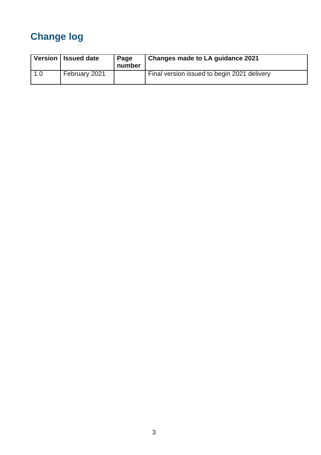# **Change log**

|     | Version   Issued date | Page<br>number | Changes made to LA guidance 2021            |
|-----|-----------------------|----------------|---------------------------------------------|
| 1.0 | February 2021         |                | Final version issued to begin 2021 delivery |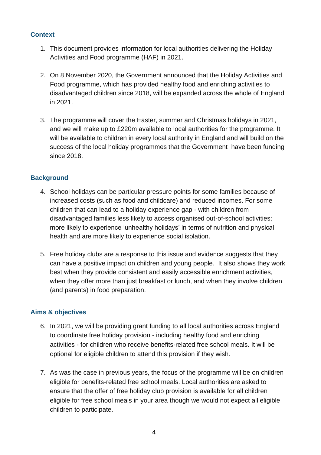#### **Context**

- 1. This document provides information for local authorities delivering the Holiday Activities and Food programme (HAF) in 2021.
- 2. On 8 November 2020, the Government announced that the Holiday Activities and Food programme, which has provided healthy food and enriching activities to disadvantaged children since 2018, will be expanded across the whole of England in 2021.
- 3. The programme will cover the Easter, summer and Christmas holidays in 2021, and we will make up to £220m available to local authorities for the programme. It will be available to children in every local authority in England and will build on the success of the local holiday programmes that the Government have been funding since 2018.

#### <span id="page-3-0"></span>**Background**

- 4. School holidays can be particular pressure points for some families because of increased costs (such as food and childcare) and reduced incomes. For some children that can lead to a holiday experience gap - with children from disadvantaged families less likely to access organised out-of-school activities; more likely to experience 'unhealthy holidays' in terms of nutrition and physical health and are more likely to experience social isolation.
- 5. Free holiday clubs are a response to this issue and evidence suggests that they can have a positive impact on children and young people. It also shows they work best when they provide consistent and easily accessible enrichment activities, when they offer more than just breakfast or lunch, and when they involve children (and parents) in food preparation.

#### **Aims & objectives**

- 6. In 2021, we will be providing grant funding to all local authorities across England to coordinate free holiday provision - including healthy food and enriching activities - for children who receive benefits-related free school meals. It will be optional for eligible children to attend this provision if they wish.
- 7. As was the case in previous years, the focus of the programme will be on children eligible for benefits-related free school meals. Local authorities are asked to ensure that the offer of free holiday club provision is available for all children eligible for free school meals in your area though we would not expect all eligible children to participate.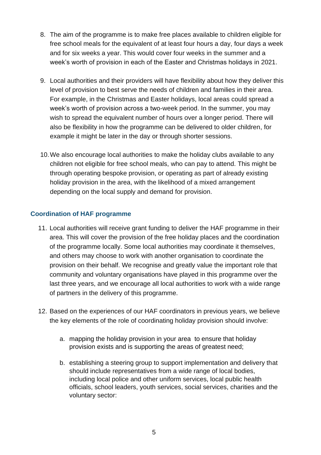- 8. The aim of the programme is to make free places available to children eligible for free school meals for the equivalent of at least four hours a day, four days a week and for six weeks a year. This would cover four weeks in the summer and a week's worth of provision in each of the Easter and Christmas holidays in 2021.
- 9. Local authorities and their providers will have flexibility about how they deliver this level of provision to best serve the needs of children and families in their area. For example, in the Christmas and Easter holidays, local areas could spread a week's worth of provision across a two-week period. In the summer, you may wish to spread the equivalent number of hours over a longer period. There will also be flexibility in how the programme can be delivered to older children, for example it might be later in the day or through shorter sessions.
- 10.We also encourage local authorities to make the holiday clubs available to any children not eligible for free school meals, who can pay to attend. This might be through operating bespoke provision, or operating as part of already existing holiday provision in the area, with the likelihood of a mixed arrangement depending on the local supply and demand for provision.

#### **Coordination of HAF programme**

- 11. Local authorities will receive grant funding to deliver the HAF programme in their area. This will cover the provision of the free holiday places and the coordination of the programme locally. Some local authorities may coordinate it themselves, and others may choose to work with another organisation to coordinate the provision on their behalf. We recognise and greatly value the important role that community and voluntary organisations have played in this programme over the last three years, and we encourage all local authorities to work with a wide range of partners in the delivery of this programme.
- 12. Based on the experiences of our HAF coordinators in previous years, we believe the key elements of the role of coordinating holiday provision should involve:
	- a. mapping the holiday provision in your area to ensure that holiday provision exists and is supporting the areas of greatest need;
	- b. establishing a steering group to support implementation and delivery that should include representatives from a wide range of local bodies, including local police and other uniform services, local public health officials, school leaders, youth services, social services, charities and the voluntary sector: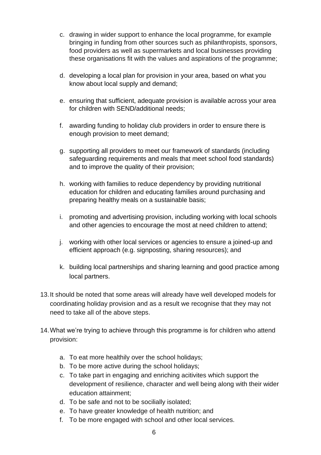- c. drawing in wider support to enhance the local programme, for example bringing in funding from other sources such as philanthropists, sponsors, food providers as well as supermarkets and local businesses providing these organisations fit with the values and aspirations of the programme;
- d. developing a local plan for provision in your area, based on what you know about local supply and demand;
- e. ensuring that sufficient, adequate provision is available across your area for children with SEND/additional needs;
- f. awarding funding to holiday club providers in order to ensure there is enough provision to meet demand;
- g. supporting all providers to meet our framework of standards (including safeguarding requirements and meals that meet school food standards) and to improve the quality of their provision;
- h. working with families to reduce dependency by providing nutritional education for children and educating families around purchasing and preparing healthy meals on a sustainable basis;
- i. promoting and advertising provision, including working with local schools and other agencies to encourage the most at need children to attend;
- j. working with other local services or agencies to ensure a joined-up and efficient approach (e.g. signposting, sharing resources); and
- k. building local partnerships and sharing learning and good practice among local partners.
- 13.It should be noted that some areas will already have well developed models for coordinating holiday provision and as a result we recognise that they may not need to take all of the above steps.
- 14.What we're trying to achieve through this programme is for children who attend provision:
	- a. To eat more healthily over the school holidays;
	- b. To be more active during the school holidays;
	- c. To take part in engaging and enriching acitivites which support the development of resilience, character and well being along with their wider education attainment;
	- d. To be safe and not to be socilially isolated;
	- e. To have greater knowledge of health nutrition; and
	- f. To be more engaged with school and other local services.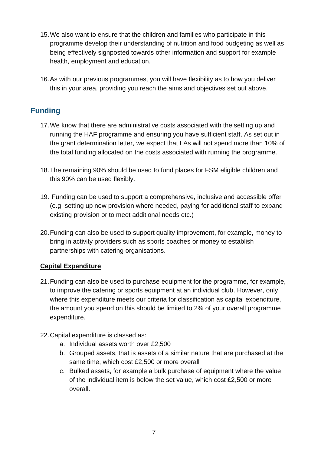- 15.We also want to ensure that the children and families who participate in this programme develop their understanding of nutrition and food budgeting as well as being effectively signposted towards other information and support for example health, employment and education.
- 16.As with our previous programmes, you will have flexibility as to how you deliver this in your area, providing you reach the aims and objectives set out above.

## **Funding**

- 17.We know that there are administrative costs associated with the setting up and running the HAF programme and ensuring you have sufficient staff. As set out in the grant determination letter, we expect that LAs will not spend more than 10% of the total funding allocated on the costs associated with running the programme.
- 18.The remaining 90% should be used to fund places for FSM eligible children and this 90% can be used flexibly.
- 19. Funding can be used to support a comprehensive, inclusive and accessible offer (e.g. setting up new provision where needed, paying for additional staff to expand existing provision or to meet additional needs etc.)
- 20.Funding can also be used to support quality improvement, for example, money to bring in activity providers such as sports coaches or money to establish partnerships with catering organisations.

#### **Capital Expenditure**

- 21.Funding can also be used to purchase equipment for the programme, for example, to improve the catering or sports equipment at an individual club. However, only where this expenditure meets our criteria for classification as capital expenditure, the amount you spend on this should be limited to 2% of your overall programme expenditure.
- 22.Capital expenditure is classed as:
	- a. Individual assets worth over £2,500
	- b. Grouped assets, that is assets of a similar nature that are purchased at the same time, which cost £2,500 or more overall
	- c. Bulked assets, for example a bulk purchase of equipment where the value of the individual item is below the set value, which cost £2,500 or more overall.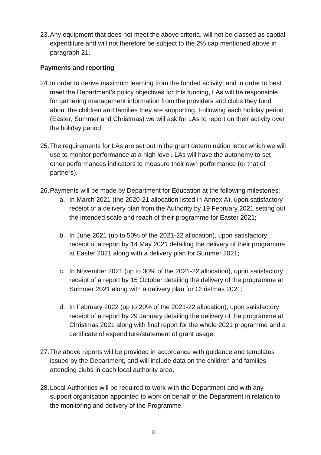23.Any equipment that does not meet the above criteria, will not be classed as captial expenditure and will not therefore be subject to the 2% cap mentioned above in paragraph 21.

#### **Payments and reporting**

- 24.In order to derive maximum learning from the funded activity, and in order to best meet the Department's policy objectives for this funding, LAs will be responsible for gathering management information from the providers and clubs they fund about the children and families they are supporting. Following each holiday period (Easter, Summer and Christmas) we will ask for LAs to report on their activity over the holiday period.
- 25.The requirements for LAs are set out in the grant determination letter which we will use to monitor performance at a high level. LAs will have the autonomy to set other performances indicators to measure their own performance (or that of partners).
- 26.Payments will be made by Department for Education at the following milestones:
	- a. In March 2021 (the 2020-21 allocation listed in Annex A), upon satisfactory receipt of a delivery plan from the Authority by 19 February 2021 setting out the intended scale and reach of their programme for Easter 2021;
	- b. In June 2021 (up to 50% of the 2021-22 allocation), upon satisfactory receipt of a report by 14 May 2021 detailing the delivery of their programme at Easter 2021 along with a delivery plan for Summer 2021;
	- c. In November 2021 (up to 30% of the 2021-22 allocation), upon satisfactory receipt of a report by 15 October detailing the delivery of the programme at Summer 2021 along with a delivery plan for Christmas 2021;
	- d. In February 2022 (up to 20% of the 2021-22 allocation), upon satisfactory receipt of a report by 29 January detailing the delivery of the programme at Christmas 2021 along with final report for the whole 2021 programme and a certificate of expenditure/statement of grant usage.
- 27.The above reports will be provided in accordance with guidance and templates issued by the Department, and will include data on the children and families attending clubs in each local authority area.
- 28.Local Authorities will be required to work with the Department and with any support organisation appointed to work on behalf of the Department in relation to the monitoring and delivery of the Programme.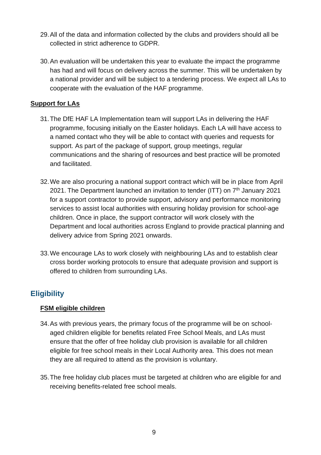- 29.All of the data and information collected by the clubs and providers should all be collected in strict adherence to GDPR.
- 30.An evaluation will be undertaken this year to evaluate the impact the programme has had and will focus on delivery across the summer. This will be undertaken by a national provider and will be subject to a tendering process. We expect all LAs to cooperate with the evaluation of the HAF programme.

#### **Support for LAs**

- 31.The DfE HAF LA Implementation team will support LAs in delivering the HAF programme, focusing initially on the Easter holidays. Each LA will have access to a named contact who they will be able to contact with queries and requests for support. As part of the package of support, group meetings, regular communications and the sharing of resources and best practice will be promoted and facilitated.
- 32.We are also procuring a national support contract which will be in place from April 2021. The Department launched an invitation to tender (ITT) on  $7<sup>th</sup>$  January 2021 for a support contractor to provide support, advisory and performance monitoring services to assist local authorities with ensuring holiday provision for school-age children. Once in place, the support contractor will work closely with the Department and local authorities across England to provide practical planning and delivery advice from Spring 2021 onwards.
- 33.We encourage LAs to work closely with neighbouring LAs and to establish clear cross border working protocols to ensure that adequate provision and support is offered to children from surrounding LAs.

## **Eligibility**

#### **FSM eligible children**

- 34.As with previous years, the primary focus of the programme will be on schoolaged children eligible for benefits related Free School Meals, and LAs must ensure that the offer of free holiday club provision is available for all children eligible for free school meals in their Local Authority area. This does not mean they are all required to attend as the provision is voluntary.
- 35.The free holiday club places must be targeted at children who are eligible for and receiving benefits-related free school meals.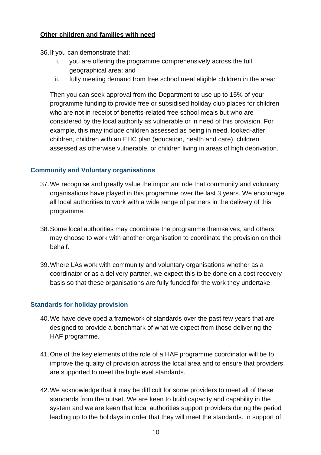#### **Other children and families with need**

36.If you can demonstrate that:

- i. you are offering the programme comprehensively across the full geographical area; and
- ii. fully meeting demand from free school meal eligible children in the area:

Then you can seek approval from the Department to use up to 15% of your programme funding to provide free or subsidised holiday club places for children who are not in receipt of benefits-related free school meals but who are considered by the local authority as vulnerable or in need of this provision. For example, this may include children assessed as being in need, looked-after children, children with an EHC plan (education, health and care), children assessed as otherwise vulnerable, or children living in areas of high deprivation.

#### **Community and Voluntary organisations**

- 37.We recognise and greatly value the important role that community and voluntary organisations have played in this programme over the last 3 years. We encourage all local authorities to work with a wide range of partners in the delivery of this programme.
- 38.Some local authorities may coordinate the programme themselves, and others may choose to work with another organisation to coordinate the provision on their behalf.
- 39.Where LAs work with community and voluntary organisations whether as a coordinator or as a delivery partner, we expect this to be done on a cost recovery basis so that these organisations are fully funded for the work they undertake.

#### **Standards for holiday provision**

- 40.We have developed a framework of standards over the past few years that are designed to provide a benchmark of what we expect from those delivering the HAF programme.
- 41.One of the key elements of the role of a HAF programme coordinator will be to improve the quality of provision across the local area and to ensure that providers are supported to meet the high-level standards.
- 42.We acknowledge that it may be difficult for some providers to meet all of these standards from the outset. We are keen to build capacity and capability in the system and we are keen that local authorities support providers during the period leading up to the holidays in order that they will meet the standards. In support of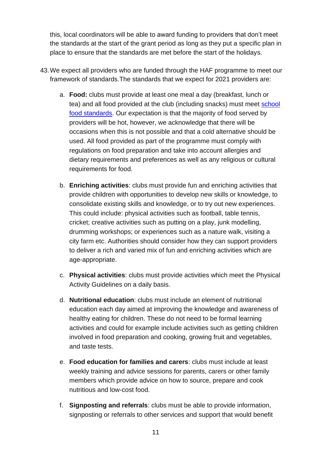this, local coordinators will be able to award funding to providers that don't meet the standards at the start of the grant period as long as they put a specific plan in place to ensure that the standards are met before the start of the holidays.

- 43.We expect all providers who are funded through the HAF programme to meet our framework of standards.The standards that we expect for 2021 providers are:
	- a. **Food:** clubs must provide at least one meal a day (breakfast, lunch or tea) and all food provided at the club (including snacks) must meet [school](http://www.schoolfoodplan.com/actions/school-food-standards/)  [food standards.](http://www.schoolfoodplan.com/actions/school-food-standards/) Our expectation is that the majority of food served by providers will be hot, however, we acknowledge that there will be occasions when this is not possible and that a cold alternative should be used. All food provided as part of the programme must comply with regulations on food preparation and take into account allergies and dietary requirements and preferences as well as any religious or cultural requirements for food.
	- b. **Enriching activities**: clubs must provide fun and enriching activities that provide children with opportunities to develop new skills or knowledge, to consolidate existing skills and knowledge, or to try out new experiences. This could include: physical activities such as football, table tennis, cricket; creative activities such as putting on a play, junk modelling, drumming workshops; or experiences such as a nature walk, visiting a city farm etc. Authorities should consider how they can support providers to deliver a rich and varied mix of fun and enriching activities which are age-appropriate.
	- c. **Physical activities**: clubs must provide activities which meet the Physical Activity Guidelines on a daily basis.
	- d. **Nutritional education**: clubs must include an element of nutritional education each day aimed at improving the knowledge and awareness of healthy eating for children. These do not need to be formal learning activities and could for example include activities such as getting children involved in food preparation and cooking, growing fruit and vegetables, and taste tests.
	- e. **Food education for families and carers**: clubs must include at least weekly training and advice sessions for parents, carers or other family members which provide advice on how to source, prepare and cook nutritious and low-cost food.
	- f. **Signposting and referrals**: clubs must be able to provide information, signposting or referrals to other services and support that would benefit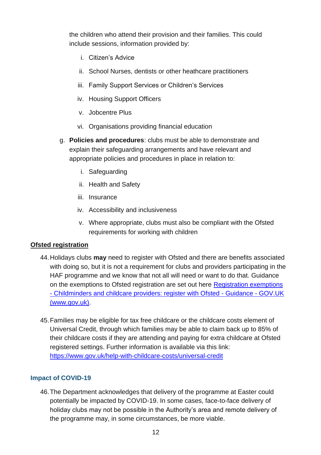the children who attend their provision and their families. This could include sessions, information provided by:

- i. Citizen's Advice
- ii. School Nurses, dentists or other heathcare practitioners
- iii. Family Support Services or Children's Services
- iv. Housing Support Officers
- v. Jobcentre Plus
- vi. Organisations providing financial education
- g. **Policies and procedures**: clubs must be able to demonstrate and explain their safeguarding arrangements and have relevant and appropriate policies and procedures in place in relation to:
	- i. Safeguarding
	- ii. Health and Safety
	- iii. Insurance
	- iv. Accessibility and inclusiveness
	- v. Where appropriate, clubs must also be compliant with the Ofsted requirements for working with children

#### **Ofsted registration**

- 44.Holidays clubs **may** need to register with Ofsted and there are benefits associated with doing so, but it is not a requirement for clubs and providers participating in the HAF programme and we know that not all will need or want to do that. Guidance on the exemptions to Ofsted registration are set out here [Registration exemptions](https://www.gov.uk/guidance/childminders-and-childcare-providers-register-with-ofsted/registration-exemptions)  - [Childminders and childcare providers: register with Ofsted -](https://www.gov.uk/guidance/childminders-and-childcare-providers-register-with-ofsted/registration-exemptions) Guidance - GOV.UK [\(www.gov.uk\).](https://www.gov.uk/guidance/childminders-and-childcare-providers-register-with-ofsted/registration-exemptions)
- 45.Families may be eligible for tax free childcare or the childcare costs element of Universal Credit, through which families may be able to claim back up to 85% of their childcare costs if they are attending and paying for extra childcare at Ofsted registered settings. Further information is available via this link: <https://www.gov.uk/help-with-childcare-costs/universal-credit>

#### **Impact of COVID-19**

46.The Department acknowledges that delivery of the programme at Easter could potentially be impacted by COVID-19. In some cases, face-to-face delivery of holiday clubs may not be possible in the Authority's area and remote delivery of the programme may, in some circumstances, be more viable.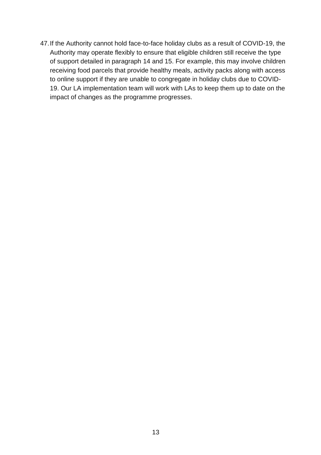47.If the Authority cannot hold face-to-face holiday clubs as a result of COVID-19, the Authority may operate flexibly to ensure that eligible children still receive the type of support detailed in paragraph 14 and 15. For example, this may involve children receiving food parcels that provide healthy meals, activity packs along with access to online support if they are unable to congregate in holiday clubs due to COVID-19. Our LA implementation team will work with LAs to keep them up to date on the impact of changes as the programme progresses.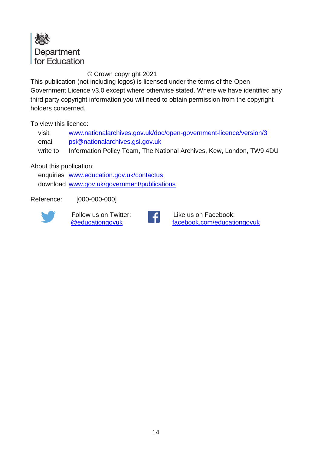

#### © Crown copyright 2021

This publication (not including logos) is licensed under the terms of the Open Government Licence v3.0 except where otherwise stated. Where we have identified any third party copyright information you will need to obtain permission from the copyright holders concerned.

To view this licence:

visit [www.nationalarchives.gov.uk/doc/open-government-licence/version/3](http://www.nationalarchives.gov.uk/doc/open-government-licence/version/3/) email [psi@nationalarchives.gsi.gov.uk](mailto:psi@nationalarchives.gsi.gov.uk) write to Information Policy Team, The National Archives, Kew, London, TW9 4DU

About this publication:

enquiries [www.education.gov.uk/contactus](http://www.education.gov.uk/contactus) download [www.gov.uk/government/publications](http://www.gov.uk/government/publications)

Reference: [000-000-000]



Follow us on Twitter: [@educationgovuk](http://twitter.com/educationgovuk)



Like us on Facebook: [facebook.com/educationgovuk](http://www.facebook.com/educationgovuk)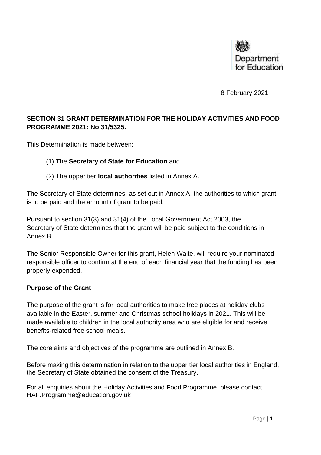

8 February 2021

#### **SECTION 31 GRANT DETERMINATION FOR THE HOLIDAY ACTIVITIES AND FOOD PROGRAMME 2021: No 31/5325.**

This Determination is made between:

#### (1) The **Secretary of State for Education** and

(2) The upper tier **local authorities** listed in Annex A.

The Secretary of State determines, as set out in Annex A, the authorities to which grant is to be paid and the amount of grant to be paid.

Pursuant to section 31(3) and 31(4) of the Local Government Act 2003, the Secretary of State determines that the grant will be paid subject to the conditions in Annex B.

The Senior Responsible Owner for this grant, Helen Waite, will require your nominated responsible officer to confirm at the end of each financial year that the funding has been properly expended.

#### **Purpose of the Grant**

The purpose of the grant is for local authorities to make free places at holiday clubs available in the Easter, summer and Christmas school holidays in 2021. This will be made available to children in the local authority area who are eligible for and receive benefits-related free school meals.

The core aims and objectives of the programme are outlined in Annex B.

Before making this determination in relation to the upper tier local authorities in England, the Secretary of State obtained the consent of the Treasury.

For all enquiries about the Holiday Activities and Food Programme, please contact [HAF.Programme@education.gov.uk](mailto:HAF.Programme@education.gov.uk)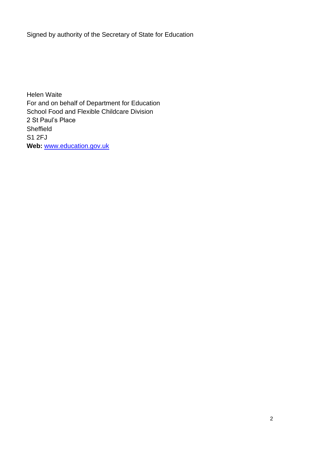Signed by authority of the Secretary of State for Education

Helen Waite For and on behalf of Department for Education School Food and Flexible Childcare Division 2 St Paul's Place Sheffield S1 2FJ **Web:** [www.education.gov.uk](http://www.education.gov.uk/)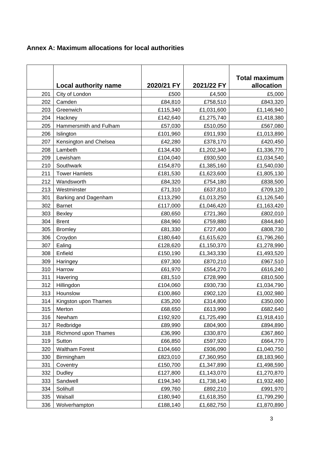|  |  | Annex A: Maximum allocations for local authorities |  |
|--|--|----------------------------------------------------|--|
|--|--|----------------------------------------------------|--|

|     |                             |            |            | <b>Total maximum</b> |
|-----|-----------------------------|------------|------------|----------------------|
|     | <b>Local authority name</b> | 2020/21 FY | 2021/22 FY | allocation           |
| 201 | City of London              | £500       | £4,500     | £5,000               |
| 202 | Camden                      | £84,810    | £758,510   | £843,320             |
| 203 | Greenwich                   | £115,340   | £1,031,600 | £1,146,940           |
| 204 | Hackney                     | £142,640   | £1,275,740 | £1,418,380           |
| 205 | Hammersmith and Fulham      | £57,030    | £510,050   | £567,080             |
| 206 | Islington                   | £101,960   | £911,930   | £1,013,890           |
| 207 | Kensington and Chelsea      | £42,280    | £378,170   | £420,450             |
| 208 | Lambeth                     | £134,430   | £1,202,340 | £1,336,770           |
| 209 | Lewisham                    | £104,040   | £930,500   | £1,034,540           |
| 210 | Southwark                   | £154,870   | £1,385,160 | £1,540,030           |
| 211 | <b>Tower Hamlets</b>        | £181,530   | £1,623,600 | £1,805,130           |
| 212 | Wandsworth                  | £84,320    | £754,180   | £838,500             |
| 213 | Westminster                 | £71,310    | £637,810   | £709,120             |
| 301 | Barking and Dagenham        | £113,290   | £1,013,250 | £1,126,540           |
| 302 | <b>Barnet</b>               | £117,000   | £1,046,420 | £1,163,420           |
| 303 | <b>Bexley</b>               | £80,650    | £721,360   | £802,010             |
| 304 | <b>Brent</b>                | £84,960    | £759,880   | £844,840             |
| 305 | <b>Bromley</b>              | £81,330    | £727,400   | £808,730             |
| 306 | Croydon                     | £180,640   | £1,615,620 | £1,796,260           |
| 307 | Ealing                      | £128,620   | £1,150,370 | £1,278,990           |
| 308 | Enfield                     | £150,190   | £1,343,330 | £1,493,520           |
| 309 | Haringey                    | £97,300    | £870,210   | £967,510             |
| 310 | Harrow                      | £61,970    | £554,270   | £616,240             |
| 311 | Havering                    | £81,510    | £728,990   | £810,500             |
| 312 | Hillingdon                  | £104,060   | £930,730   | £1,034,790           |
| 313 | Hounslow                    | £100,860   | £902,120   | £1,002,980           |
| 314 | Kingston upon Thames        | £35,200    | £314,800   | £350,000             |
| 315 | Merton                      | £68,650    | £613,990   | £682,640             |
| 316 | Newham                      | £192,920   | £1,725,490 | £1,918,410           |
| 317 | Redbridge                   | £89,990    | £804,900   | £894,890             |
| 318 | Richmond upon Thames        | £36,990    | £330,870   | £367,860             |
| 319 | Sutton                      | £66,850    | £597,920   | £664,770             |
| 320 | <b>Waltham Forest</b>       | £104,660   | £936,090   | £1,040,750           |
| 330 | Birmingham                  | £823,010   | £7,360,950 | £8,183,960           |
| 331 | Coventry                    | £150,700   | £1,347,890 | £1,498,590           |
| 332 | <b>Dudley</b>               | £127,800   | £1,143,070 | £1,270,870           |
| 333 | Sandwell                    | £194,340   | £1,738,140 | £1,932,480           |
| 334 | Solihull                    | £99,760    | £892,210   | £991,970             |
| 335 | Walsall                     | £180,940   | £1,618,350 | £1,799,290           |
| 336 | Wolverhampton               | £188,140   | £1,682,750 | £1,870,890           |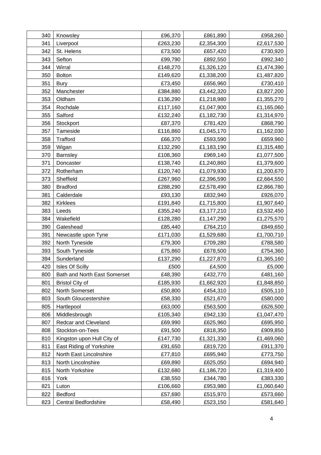| 340 | Knowsley                     | £96,370  | £861,890   | £958,260   |
|-----|------------------------------|----------|------------|------------|
| 341 | Liverpool                    | £263,230 | £2,354,300 | £2,617,530 |
| 342 | St. Helens                   | £73,500  | £657,420   | £730,920   |
| 343 | Sefton                       | £99,790  | £892,550   | £992,340   |
| 344 | Wirral                       | £148,270 | £1,326,120 | £1,474,390 |
| 350 | <b>Bolton</b>                | £149,620 | £1,338,200 | £1,487,820 |
| 351 | <b>Bury</b>                  | £73,450  | £656,960   | £730,410   |
| 352 | Manchester                   | £384,880 | £3,442,320 | £3,827,200 |
| 353 | Oldham                       | £136,290 | £1,218,980 | £1,355,270 |
| 354 | Rochdale                     | £117,160 | £1,047,900 | £1,165,060 |
| 355 | Salford                      | £132,240 | £1,182,730 | £1,314,970 |
| 356 | Stockport                    | £87,370  | £781,420   | £868,790   |
| 357 | Tameside                     | £116,860 | £1,045,170 | £1,162,030 |
| 358 | <b>Trafford</b>              | £66,370  | £593,590   | £659,960   |
| 359 | Wigan                        | £132,290 | £1,183,190 | £1,315,480 |
| 370 | Barnsley                     | £108,360 | £969,140   | £1,077,500 |
| 371 | Doncaster                    | £138,740 | £1,240,860 | £1,379,600 |
| 372 | Rotherham                    | £120,740 | £1,079,930 | £1,200,670 |
| 373 | Sheffield                    | £267,960 | £2,396,590 | £2,664,550 |
| 380 | <b>Bradford</b>              | £288,290 | £2,578,490 | £2,866,780 |
| 381 | Calderdale                   | £93,130  | £832,940   | £926,070   |
| 382 | <b>Kirklees</b>              | £191,840 | £1,715,800 | £1,907,640 |
| 383 | Leeds                        | £355,240 | £3,177,210 | £3,532,450 |
| 384 | Wakefield                    | £128,280 | £1,147,290 | £1,275,570 |
| 390 | Gateshead                    | £85,440  | £764,210   | £849,650   |
| 391 | Newcastle upon Tyne          | £171,030 | £1,529,680 | £1,700,710 |
| 392 | North Tyneside               | £79,300  | £709,280   | £788,580   |
| 393 | South Tyneside               | £75,860  | £678,500   | £754,360   |
| 394 | Sunderland                   | £137,290 | £1,227,870 | £1,365,160 |
| 420 | <b>Isles Of Scilly</b>       | £500     | £4,500     | £5,000     |
| 800 | Bath and North East Somerset | £48,390  | £432,770   | £481,160   |
| 801 | <b>Bristol City of</b>       | £185,930 | £1,662,920 | £1,848,850 |
| 802 | North Somerset               | £50,800  | £454,310   | £505,110   |
| 803 | South Gloucestershire        | £58,330  | £521,670   | £580,000   |
| 805 | Hartlepool                   | £63,000  | £563,500   | £626,500   |
| 806 | Middlesbrough                | £105,340 | £942,130   | £1,047,470 |
| 807 | Redcar and Cleveland         | £69,990  | £625,960   | £695,950   |
| 808 | Stockton-on-Tees             | £91,500  | £818,350   | £909,850   |
| 810 | Kingston upon Hull City of   | £147,730 | £1,321,330 | £1,469,060 |
| 811 | East Riding of Yorkshire     | £91,650  | £819,720   | £911,370   |
| 812 | North East Lincolnshire      | £77,810  | £695,940   | £773,750   |
| 813 | North Lincolnshire           | £69,890  | £625,050   | £694,940   |
| 815 | North Yorkshire              | £132,680 | £1,186,720 | £1,319,400 |
| 816 | York                         | £38,550  | £344,780   | £383,330   |
| 821 | Luton                        | £106,660 | £953,980   | £1,060,640 |
| 822 | <b>Bedford</b>               | £57,690  | £515,970   | £573,660   |
| 823 | Central Bedfordshire         | £58,490  | £523,150   | £581,640   |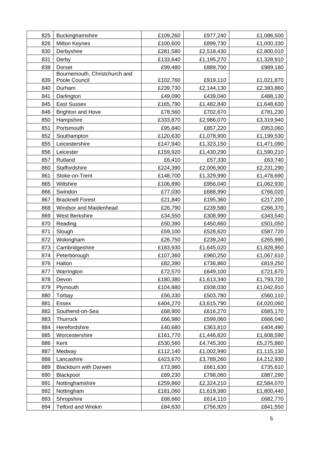| 825 | Buckinghamshire               | £109,260 | £977,240   | £1,086,500 |
|-----|-------------------------------|----------|------------|------------|
| 826 | <b>Milton Keynes</b>          | £100,600 | £899,730   | £1,000,330 |
| 830 | Derbyshire                    | £281,580 | £2,518,430 | £2,800,010 |
| 831 | Derby                         | £133,640 | £1,195,270 | £1,328,910 |
| 838 | <b>Dorset</b>                 | £99,480  | £889,700   | £989,180   |
|     | Bournemouth, Christchurch and |          |            |            |
| 839 | Poole Council                 | £102,760 | £919,110   | £1,021,870 |
| 840 | Durham                        | £239,730 | £2,144,130 | £2,383,860 |
| 841 | Darlington                    | £49,090  | £439,040   | £488,130   |
| 845 | <b>East Sussex</b>            | £165,790 | £1,482,840 | £1,648,630 |
| 846 | <b>Brighton and Hove</b>      | £78,560  | £702,670   | £781,230   |
| 850 | Hampshire                     | £333,870 | £2,986,070 | £3,319,940 |
| 851 | Portsmouth                    | £95,840  | £857,220   | £953,060   |
| 852 | Southampton                   | £120,630 | £1,078,900 | £1,199,530 |
| 855 | Leicestershire                | £147,940 | £1,323,150 | £1,471,090 |
| 856 | Leicester                     | £159,920 | £1,430,290 | £1,590,210 |
| 857 | Rutland                       | £6,410   | £57,330    | £63,740    |
| 860 | Staffordshire                 | £224,390 | £2,006,900 | £2,231,290 |
| 861 | Stoke-on-Trent                | £148,700 | £1,329,990 | £1,478,690 |
| 865 | Wiltshire                     | £106,890 | £956,040   | £1,062,930 |
| 866 | Swindon                       | £77,030  | £688,990   | £766,020   |
| 867 | <b>Bracknell Forest</b>       | £21,840  | £195,360   | £217,200   |
| 868 | Windsor and Maidenhead        | £26,790  | £239,580   | £266,370   |
| 869 | West Berkshire                | £34,550  | £308,990   | £343,540   |
| 870 | Reading                       | £50,390  | £450,660   | £501,050   |
| 871 | Slough                        | £59,100  | £528,620   | £587,720   |
| 872 | Wokingham                     | £26,750  | £239,240   | £265,990   |
| 873 | Cambridgeshire                | £183,930 | £1,645,020 | £1,828,950 |
| 874 | Peterborough                  | £107,360 | £960,250   | £1,067,610 |
| 876 | Halton                        | £82,390  | £736,860   | £819,250   |
| 877 | Warrington                    | £72,570  | £649,100   | £721,670   |
| 878 | Devon                         | £180,380 | £1,613,340 | £1,793,720 |
| 879 | Plymouth                      | £104,880 | £938,030   | £1,042,910 |
| 880 | Torbay                        | £56,330  | £503,780   | £560,110   |
| 881 | Essex                         | £404,270 | £3,615,790 | £4,020,060 |
| 882 | Southend-on-Sea               | £68,900  | £616,270   | £685,170   |
| 883 | Thurrock                      | £66,980  | £599,060   | £666,040   |
| 884 | Herefordshire                 | £40,680  | £363,810   | £404,490   |
| 885 | Worcestershire                | £161,770 | £1,446,820 | £1,608,590 |
| 886 | Kent                          | £530,560 | £4,745,300 | £5,275,860 |
| 887 | Medway                        | £112,140 | £1,002,990 | £1,115,130 |
| 888 | Lancashire                    | £423,670 | £3,789,260 | £4,212,930 |
| 889 | <b>Blackburn with Darwen</b>  | £73,980  | £661,630   | £735,610   |
| 890 | Blackpool                     | £89,230  | £798,060   | £887,290   |
| 891 | Nottinghamshire               | £259,860 | £2,324,210 | £2,584,070 |
| 892 | Nottingham                    | £181,060 | £1,619,380 | £1,800,440 |
| 893 | Shropshire                    | £68,660  | £614,110   | £682,770   |
| 894 | <b>Telford and Wrekin</b>     | £84,630  | £756,920   | £841,550   |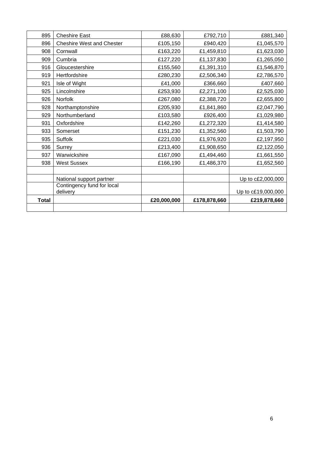| 895          | <b>Cheshire East</b>             | £88,630     | £792,710     | £881,340           |
|--------------|----------------------------------|-------------|--------------|--------------------|
| 896          | <b>Cheshire West and Chester</b> | £105,150    | £940,420     | £1,045,570         |
| 908          | Cornwall                         | £163,220    | £1,459,810   | £1,623,030         |
| 909          | Cumbria                          | £127,220    | £1,137,830   | £1,265,050         |
| 916          | Gloucestershire                  | £155,560    | £1,391,310   | £1,546,870         |
| 919          | Hertfordshire                    | £280,230    | £2,506,340   | £2,786,570         |
| 921          | Isle of Wight                    | £41,000     | £366,660     | £407,660           |
| 925          | Lincolnshire                     | £253,930    | £2,271,100   | £2,525,030         |
| 926          | Norfolk                          | £267,080    | £2,388,720   | £2,655,800         |
| 928          | Northamptonshire                 | £205,930    | £1,841,860   | £2,047,790         |
| 929          | Northumberland                   | £103,580    | £926,400     | £1,029,980         |
| 931          | Oxfordshire                      | £142,260    | £1,272,320   | £1,414,580         |
| 933          | Somerset                         | £151,230    | £1,352,560   | £1,503,790         |
| 935          | Suffolk                          | £221,030    | £1,976,920   | £2,197,950         |
| 936          | Surrey                           | £213,400    | £1,908,650   | £2,122,050         |
| 937          | Warwickshire                     | £167,090    | £1,494,460   | £1,661,550         |
| 938          | <b>West Sussex</b>               | £166,190    | £1,486,370   | £1,652,560         |
|              |                                  |             |              |                    |
|              | National support partner         |             |              | Up to c£2,000,000  |
|              | Contingency fund for local       |             |              |                    |
|              | delivery                         |             |              | Up to c£19,000,000 |
| <b>Total</b> |                                  | £20,000,000 | £178,878,660 | £219,878,660       |
|              |                                  |             |              |                    |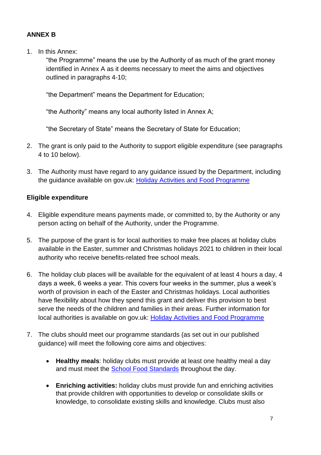#### **ANNEX B**

1. In this Annex:

"the Programme" means the use by the Authority of as much of the grant money identified in Annex A as it deems necessary to meet the aims and objectives outlined in paragraphs 4-10;

"the Department" means the Department for Education;

"the Authority" means any local authority listed in Annex A;

"the Secretary of State" means the Secretary of State for Education;

- 2. The grant is only paid to the Authority to support eligible expenditure (see paragraphs 4 to 10 below).
- 3. The Authority must have regard to any guidance issued by the Department, including the guidance available on gov.uk: Holiday [Activities and Food Programme](https://www.gov.uk/government/publications/holiday-activities-and-food-programme)

#### **Eligible expenditure**

- 4. Eligible expenditure means payments made, or committed to, by the Authority or any person acting on behalf of the Authority, under the Programme.
- 5. The purpose of the grant is for local authorities to make free places at holiday clubs available in the Easter, summer and Christmas holidays 2021 to children in their local authority who receive benefits-related free school meals.
- 6. The holiday club places will be available for the equivalent of at least 4 hours a day, 4 days a week, 6 weeks a year. This covers four weeks in the summer, plus a week's worth of provision in each of the Easter and Christmas holidays. Local authorities have flexibility about how they spend this grant and deliver this provision to best serve the needs of the children and families in their areas. Further information for local authorities is available on gov.uk: [Holiday Activities and Food Programme](https://www.gov.uk/government/publications/holiday-activities-and-food-programme)
- 7. The clubs should meet our programme standards (as set out in our published guidance) will meet the following core aims and objectives:
	- **Healthy meals**: holiday clubs must provide at least one healthy meal a day and must meet the [School Food Standards](https://www.gov.uk/government/publications/standards-for-school-food-in-england) throughout the day.
	- **Enriching activities:** holiday clubs must provide fun and enriching activities that provide children with opportunities to develop or consolidate skills or knowledge, to consolidate existing skills and knowledge. Clubs must also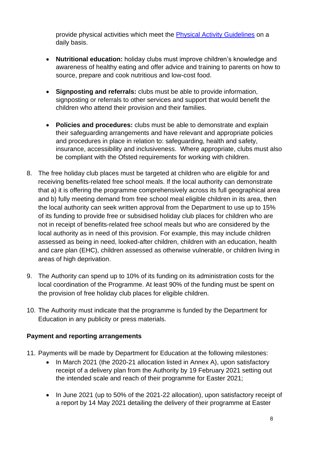provide physical activities which meet the [Physical Activity Guidelines](https://www.gov.uk/government/collections/physical-activity-guidelines) on a daily basis.

- **Nutritional education:** holiday clubs must improve children's knowledge and awareness of healthy eating and offer advice and training to parents on how to source, prepare and cook nutritious and low-cost food.
- **Signposting and referrals:** clubs must be able to provide information, signposting or referrals to other services and support that would benefit the children who attend their provision and their families.
- **Policies and procedures:** clubs must be able to demonstrate and explain their safeguarding arrangements and have relevant and appropriate policies and procedures in place in relation to: safeguarding, health and safety, insurance, accessibility and inclusiveness. Where appropriate, clubs must also be compliant with the Ofsted requirements for working with children.
- 8. The free holiday club places must be targeted at children who are eligible for and receiving benefits-related free school meals. If the local authority can demonstrate that a) it is offering the programme comprehensively across its full geographical area and b) fully meeting demand from free school meal eligible children in its area, then the local authority can seek written approval from the Department to use up to 15% of its funding to provide free or subsidised holiday club places for children who are not in receipt of benefits-related free school meals but who are considered by the local authority as in need of this provision. For example, this may include children assessed as being in need, looked-after children, children with an education, health and care plan (EHC), children assessed as otherwise vulnerable, or children living in areas of high deprivation.
- 9. The Authority can spend up to 10% of its funding on its administration costs for the local coordination of the Programme. At least 90% of the funding must be spent on the provision of free holiday club places for eligible children.
- 10. The Authority must indicate that the programme is funded by the Department for Education in any publicity or press materials.

#### **Payment and reporting arrangements**

- 11. Payments will be made by Department for Education at the following milestones:
	- In March 2021 (the 2020-21 allocation listed in Annex A), upon satisfactory receipt of a delivery plan from the Authority by 19 February 2021 setting out the intended scale and reach of their programme for Easter 2021;
	- In June 2021 (up to 50% of the 2021-22 allocation), upon satisfactory receipt of a report by 14 May 2021 detailing the delivery of their programme at Easter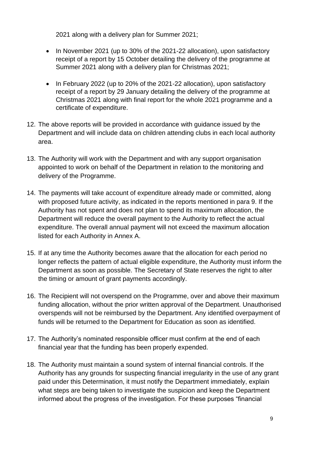2021 along with a delivery plan for Summer 2021;

- In November 2021 (up to 30% of the 2021-22 allocation), upon satisfactory receipt of a report by 15 October detailing the delivery of the programme at Summer 2021 along with a delivery plan for Christmas 2021;
- In February 2022 (up to 20% of the 2021-22 allocation), upon satisfactory receipt of a report by 29 January detailing the delivery of the programme at Christmas 2021 along with final report for the whole 2021 programme and a certificate of expenditure.
- 12. The above reports will be provided in accordance with guidance issued by the Department and will include data on children attending clubs in each local authority area.
- 13. The Authority will work with the Department and with any support organisation appointed to work on behalf of the Department in relation to the monitoring and delivery of the Programme.
- 14. The payments will take account of expenditure already made or committed, along with proposed future activity, as indicated in the reports mentioned in para 9. If the Authority has not spent and does not plan to spend its maximum allocation, the Department will reduce the overall payment to the Authority to reflect the actual expenditure. The overall annual payment will not exceed the maximum allocation listed for each Authority in Annex A.
- 15. If at any time the Authority becomes aware that the allocation for each period no longer reflects the pattern of actual eligible expenditure, the Authority must inform the Department as soon as possible. The Secretary of State reserves the right to alter the timing or amount of grant payments accordingly.
- 16. The Recipient will not overspend on the Programme, over and above their maximum funding allocation, without the prior written approval of the Department. Unauthorised overspends will not be reimbursed by the Department. Any identified overpayment of funds will be returned to the Department for Education as soon as identified.
- 17. The Authority's nominated responsible officer must confirm at the end of each financial year that the funding has been properly expended.
- 18. The Authority must maintain a sound system of internal financial controls. If the Authority has any grounds for suspecting financial irregularity in the use of any grant paid under this Determination, it must notify the Department immediately, explain what steps are being taken to investigate the suspicion and keep the Department informed about the progress of the investigation. For these purposes "financial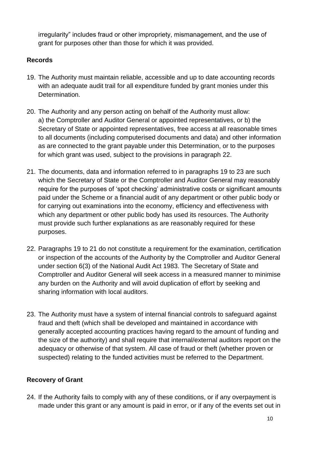irregularity" includes fraud or other impropriety, mismanagement, and the use of grant for purposes other than those for which it was provided.

#### **Records**

- 19. The Authority must maintain reliable, accessible and up to date accounting records with an adequate audit trail for all expenditure funded by grant monies under this Determination.
- 20. The Authority and any person acting on behalf of the Authority must allow: a) the Comptroller and Auditor General or appointed representatives, or b) the Secretary of State or appointed representatives, free access at all reasonable times to all documents (including computerised documents and data) and other information as are connected to the grant payable under this Determination, or to the purposes for which grant was used, subject to the provisions in paragraph 22.
- 21. The documents, data and information referred to in paragraphs 19 to 23 are such which the Secretary of State or the Comptroller and Auditor General may reasonably require for the purposes of 'spot checking' administrative costs or significant amounts paid under the Scheme or a financial audit of any department or other public body or for carrying out examinations into the economy, efficiency and effectiveness with which any department or other public body has used its resources. The Authority must provide such further explanations as are reasonably required for these purposes.
- 22. Paragraphs 19 to 21 do not constitute a requirement for the examination, certification or inspection of the accounts of the Authority by the Comptroller and Auditor General under section 6(3) of the National Audit Act 1983. The Secretary of State and Comptroller and Auditor General will seek access in a measured manner to minimise any burden on the Authority and will avoid duplication of effort by seeking and sharing information with local auditors.
- 23. The Authority must have a system of internal financial controls to safeguard against fraud and theft (which shall be developed and maintained in accordance with generally accepted accounting practices having regard to the amount of funding and the size of the authority) and shall require that internal/external auditors report on the adequacy or otherwise of that system. All case of fraud or theft (whether proven or suspected) relating to the funded activities must be referred to the Department.

#### **Recovery of Grant**

24. If the Authority fails to comply with any of these conditions, or if any overpayment is made under this grant or any amount is paid in error, or if any of the events set out in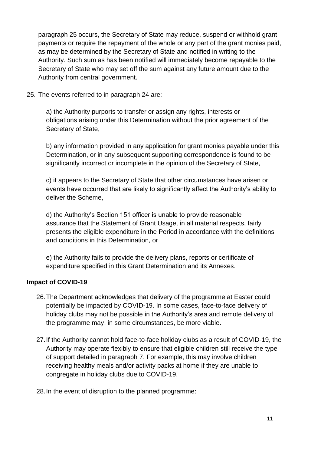paragraph 25 occurs, the Secretary of State may reduce, suspend or withhold grant payments or require the repayment of the whole or any part of the grant monies paid, as may be determined by the Secretary of State and notified in writing to the Authority. Such sum as has been notified will immediately become repayable to the Secretary of State who may set off the sum against any future amount due to the Authority from central government.

25. The events referred to in paragraph 24 are:

a) the Authority purports to transfer or assign any rights, interests or obligations arising under this Determination without the prior agreement of the Secretary of State,

b) any information provided in any application for grant monies payable under this Determination, or in any subsequent supporting correspondence is found to be significantly incorrect or incomplete in the opinion of the Secretary of State,

c) it appears to the Secretary of State that other circumstances have arisen or events have occurred that are likely to significantly affect the Authority's ability to deliver the Scheme,

d) the Authority's Section 151 officer is unable to provide reasonable assurance that the Statement of Grant Usage, in all material respects, fairly presents the eligible expenditure in the Period in accordance with the definitions and conditions in this Determination, or

e) the Authority fails to provide the delivery plans, reports or certificate of expenditure specified in this Grant Determination and its Annexes.

#### **Impact of COVID-19**

- 26.The Department acknowledges that delivery of the programme at Easter could potentially be impacted by COVID-19. In some cases, face-to-face delivery of holiday clubs may not be possible in the Authority's area and remote delivery of the programme may, in some circumstances, be more viable.
- 27.If the Authority cannot hold face-to-face holiday clubs as a result of COVID-19, the Authority may operate flexibly to ensure that eligible children still receive the type of support detailed in paragraph 7. For example, this may involve children receiving healthy meals and/or activity packs at home if they are unable to congregate in holiday clubs due to COVID-19.
- 28.In the event of disruption to the planned programme: